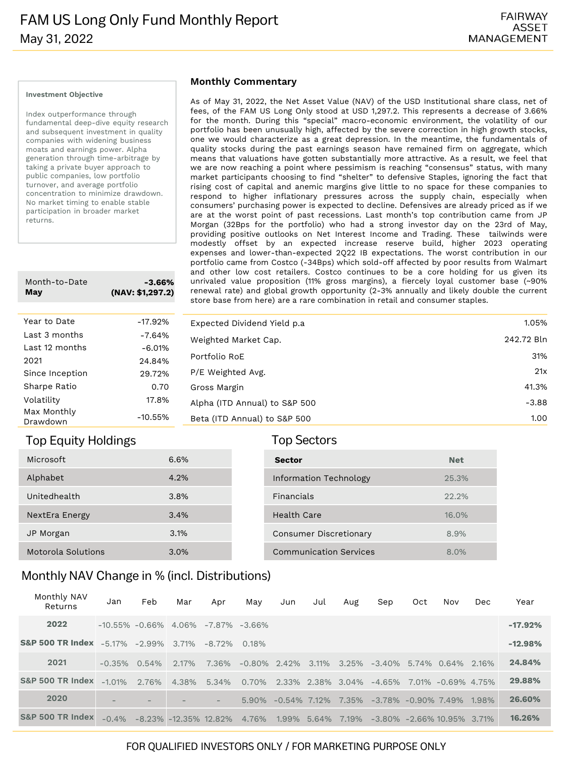#### **Investment Objective**

Index outperformance through fundamental deep-dive equity research and subsequent investment in quality companies with widening business moats and earnings power. Alpha generation through time-arbitrage by taking a private buyer approach to public companies, low portfolio turnover, and average portfolio concentration to minimize drawdown. No market timing to enable stable participation in broader market returns.

| Month-to-Date<br>May    | -3.66%<br>(NAV: \$1,297.2) |  |  |  |  |  |
|-------------------------|----------------------------|--|--|--|--|--|
|                         |                            |  |  |  |  |  |
| Year to Date            | $-17.92%$                  |  |  |  |  |  |
| Last 3 months           | $-7.64%$                   |  |  |  |  |  |
| Last 12 months          | $-6.01%$                   |  |  |  |  |  |
| 2021                    | 24.84%                     |  |  |  |  |  |
| Since Inception         | 29.72%                     |  |  |  |  |  |
| Sharpe Ratio            | 0.70                       |  |  |  |  |  |
| Volatility              | 17.8%                      |  |  |  |  |  |
| Max Monthly<br>Drawdown | $-10.55%$                  |  |  |  |  |  |

### Top Equity Holdings Top Sectors

| Microsoft          | 6.6% |
|--------------------|------|
| Alphabet           | 4.2% |
| Unitedhealth       | 3.8% |
| NextEra Energy     | 3.4% |
| JP Morgan          | 3.1% |
| Motorola Solutions | 3.0% |

#### **Monthly Commentary**

As of May 31, 2022, the Net Asset Value (NAV) of the USD Institutional share class, net of fees, of the FAM US Long Only stood at USD 1,297.2. This represents a decrease of 3.66% for the month. During this "special" macro-economic environment, the volatility of our portfolio has been unusually high, affected by the severe correction in high growth stocks, one we would characterize as a great depression. In the meantime, the fundamentals of quality stocks during the past earnings season have remained firm on aggregate, which means that valuations have gotten substantially more attractive. As a result, we feel that we are now reaching a point where pessimism is reaching "consensus" status, with many market participants choosing to find "shelter" to defensive Staples, ignoring the fact that rising cost of capital and anemic margins give little to no space for these companies to respond to higher inflationary pressures across the supply chain, especially when consumers' purchasing power is expected to decline. Defensives are already priced as if we are at the worst point of past recessions. Last month's top contribution came from JP Morgan (32Bps for the portfolio) who had a strong investor day on the 23rd of May, providing positive outlooks on Net Interest Income and Trading. These tailwinds were modestly offset by an expected increase reserve build, higher 2023 operating expenses and lower-than-expected 2Q22 IB expectations. The worst contribution in our portfolio came from Costco (-34Bps) which sold-off affected by poor results from Walmart and other low cost retailers. Costco continues to be a core holding for us given its unrivaled value proposition (11% gross margins), a fiercely loyal customer base (~90% renewal rate) and global growth opportunity (2-3% annually and likely double the current store base from here) are a rare combination in retail and consumer staples.

| Expected Dividend Yield p.a.  | 1.05%      |
|-------------------------------|------------|
| Weighted Market Cap.          | 242.72 Bln |
| Portfolio RoE                 | 31%        |
| P/E Weighted Avg.             | 21x        |
| Gross Margin                  | 41.3%      |
| Alpha (ITD Annual) to S&P 500 | $-3.88$    |
| Beta (ITD Annual) to S&P 500  | 1.00       |

| Sector                        | <b>Net</b> |
|-------------------------------|------------|
| Information Technology        | 25.3%      |
| <b>Financials</b>             | 22.2%      |
| Health Care                   | 16.0%      |
| <b>Consumer Discretionary</b> | 8.9%       |
| <b>Communication Services</b> | 8.0%       |

## Monthly NAV Change in % (incl. Distributions)

| Monthly NAV<br>Returns                          | Jan                                        | Feb                                  | Mar      | Apr                      | May                         | Jun               | Jul | Aug | Sep                                                | Oct | Nov | Dec | Year      |
|-------------------------------------------------|--------------------------------------------|--------------------------------------|----------|--------------------------|-----------------------------|-------------------|-----|-----|----------------------------------------------------|-----|-----|-----|-----------|
| 2022                                            | $-10.55\% -0.66\% -4.06\% -7.87\% -3.66\%$ |                                      |          |                          |                             |                   |     |     |                                                    |     |     |     | $-17.92%$ |
| <b>S&amp;P 500 TR Index</b> -5.17% -2.99% 3.71% |                                            |                                      |          | $-8.72\%$ 0.18%          |                             |                   |     |     |                                                    |     |     |     | $-12.98%$ |
| 2021                                            | $-0.35\%$ 0.54%                            |                                      | $2.17\%$ | 7.36%                    | $-0.80\%$ 2.42% 3.11% 3.25% |                   |     |     | $-3.40\%$ 5.74% 0.64% 2.16%                        |     |     |     | 24.84%    |
| S&P 500 TR Index -1.01% 2.76%                   |                                            |                                      |          | 4.38% 5.34%              | 0.70% 2.33% 2.38% 3.04%     |                   |     |     | $-4.65\%$ 7.01% $-0.69\%$ 4.75%                    |     |     |     | 29.88%    |
| 2020                                            |                                            |                                      |          | $\overline{\phantom{a}}$ |                             |                   |     |     | 5.90% -0.54% 7.12% 7.35% -3.78% -0.90% 7.49% 1.98% |     |     |     | 26.60%    |
| <b>S&amp;P 500 TR Index</b>                     |                                            | $-0.4\%$ $-8.23\%$ $-12.35\%$ 12.82% |          |                          | 4.76%                       | 1.99% 5.64% 7.19% |     |     | $-3.80\% -2.66\%$ 10.95% 3.71%                     |     |     |     | 16.26%    |

### FOR QUALIFIED INVESTORS ONLY / FOR MARKETING PURPOSE ONLY